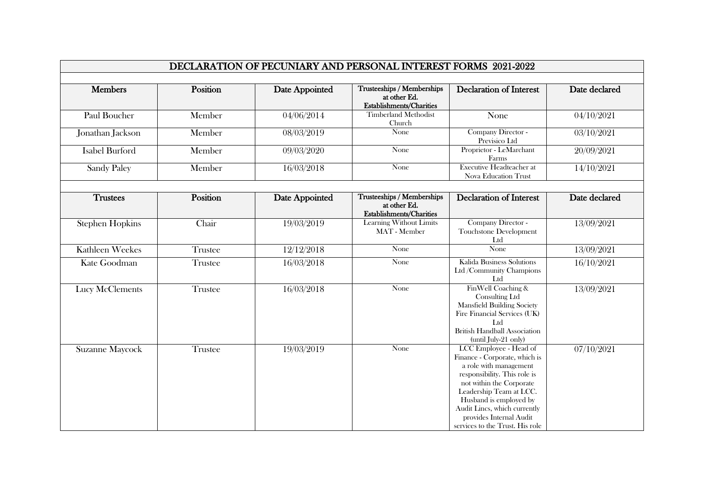| DECLARATION OF PECUNIARY AND PERSONAL INTEREST FORMS 2021-2022 |          |                |                                                                        |                                                                                                                                                                                                                                                                                                  |               |  |  |  |
|----------------------------------------------------------------|----------|----------------|------------------------------------------------------------------------|--------------------------------------------------------------------------------------------------------------------------------------------------------------------------------------------------------------------------------------------------------------------------------------------------|---------------|--|--|--|
|                                                                |          |                |                                                                        |                                                                                                                                                                                                                                                                                                  |               |  |  |  |
| <b>Members</b>                                                 | Position | Date Appointed | Trusteeships / Memberships<br>at other Ed.<br>Establishments/Charities | <b>Declaration of Interest</b>                                                                                                                                                                                                                                                                   | Date declared |  |  |  |
| Paul Boucher                                                   | Member   | 04/06/2014     | <b>Timberland Methodist</b><br>Church                                  | None                                                                                                                                                                                                                                                                                             | 04/10/2021    |  |  |  |
| Jonathan Jackson                                               | Member   | 08/03/2019     | None                                                                   | Company Director -<br>Previsico Ltd                                                                                                                                                                                                                                                              | 03/10/2021    |  |  |  |
| <b>Isabel Burford</b>                                          | Member   | 09/03/2020     | None                                                                   | Proprietor - LeMarchant<br>Farms                                                                                                                                                                                                                                                                 | 20/09/2021    |  |  |  |
| <b>Sandy Paley</b>                                             | Member   | 16/03/2018     | None                                                                   | <b>Executive Headteacher at</b><br><b>Nova Education Trust</b>                                                                                                                                                                                                                                   | 14/10/2021    |  |  |  |
|                                                                |          |                |                                                                        |                                                                                                                                                                                                                                                                                                  |               |  |  |  |
| <b>Trustees</b>                                                | Position | Date Appointed | Trusteeships / Memberships<br>at other Ed.<br>Establishments/Charities | <b>Declaration of Interest</b>                                                                                                                                                                                                                                                                   | Date declared |  |  |  |
| <b>Stephen Hopkins</b>                                         | Chair    | 19/03/2019     | Learning Without Limits<br>MAT - Member                                | Company Director -<br>Touchstone Development<br>Ltd                                                                                                                                                                                                                                              | 13/09/2021    |  |  |  |
| <b>Kathleen Weekes</b>                                         | Trustee  | 12/12/2018     | None                                                                   | None                                                                                                                                                                                                                                                                                             | 13/09/2021    |  |  |  |
| Kate Goodman                                                   | Trustee  | 16/03/2018     | None                                                                   | Kalida Business Solutions<br>Ltd /Community Champions<br>Ltd                                                                                                                                                                                                                                     | 16/10/2021    |  |  |  |
| Lucy McClements                                                | Trustee  | 16/03/2018     | None                                                                   | FinWell Coaching &<br>Consulting Ltd<br><b>Mansfield Building Society</b><br>Fire Financial Services (UK)<br>Ltd<br><b>British Handball Association</b><br>(until July-21 only)                                                                                                                  | 13/09/2021    |  |  |  |
| <b>Suzanne Maycock</b>                                         | Trustee  | 19/03/2019     | None                                                                   | LCC Employee - Head of<br>Finance - Corporate, which is<br>a role with management<br>responsibility. This role is<br>not within the Corporate<br>Leadership Team at LCC.<br>Husband is employed by<br>Audit Lincs, which currently<br>provides Internal Audit<br>services to the Trust. His role | 07/10/2021    |  |  |  |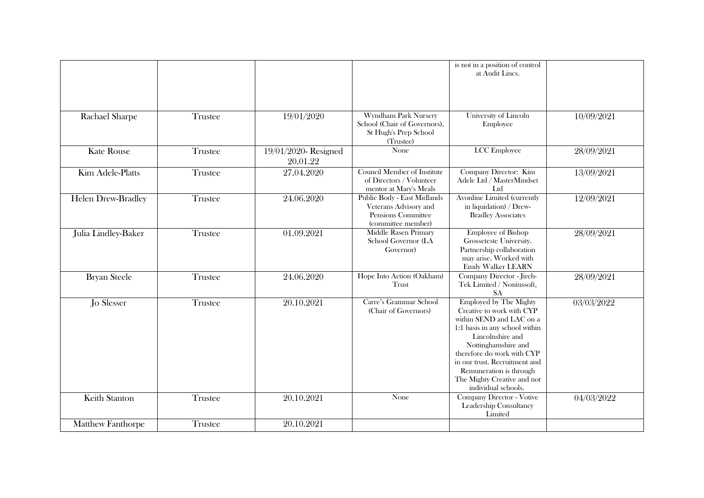|                          |         |                                 |                                                                                                  | is not in a position of control<br>at Audit Lincs.                                                                                                                                                                                                                                                                  |            |
|--------------------------|---------|---------------------------------|--------------------------------------------------------------------------------------------------|---------------------------------------------------------------------------------------------------------------------------------------------------------------------------------------------------------------------------------------------------------------------------------------------------------------------|------------|
| Rachael Sharpe           | Trustee | 19/01/2020                      | Wyndham Park Nursery<br>School (Chair of Governors),<br>St Hugh's Prep School<br>(Trustee)       | University of Lincoln<br>Employee                                                                                                                                                                                                                                                                                   | 10/09/2021 |
| <b>Kate Rouse</b>        | Trustee | 19/01/2020-Resigned<br>20.01.22 | None                                                                                             | <b>LCC</b> Employee                                                                                                                                                                                                                                                                                                 | 28/09/2021 |
| Kim Adele-Platts         | Trustee | 27.04.2020                      | Council Member of Institute<br>of Directors / Volunteer<br>mentor at Mary's Meals                | Company Director: Kim<br>Adele Ltd / MasterMindset<br>Ltd                                                                                                                                                                                                                                                           | 13/09/2021 |
| Helen Drew-Bradley       | Trustee | 24.06.2020                      | Public Body - East Midlands<br>Veterans Advisory and<br>Pensions Committee<br>(committee member) | Avonline Limited (currently<br>in liquidation) / Drew-<br><b>Bradley Associates</b>                                                                                                                                                                                                                                 | 12/09/2021 |
| Julia Lindley-Baker      | Trustee | 01.09.2021                      | Middle Rasen Primary<br>School Governor (LA<br>Governor)                                         | <b>Employee of Bishop</b><br>Grosseteste University.<br>Partnership collaboration<br>may arise. Worked with<br><b>Emily Walker LEARN</b>                                                                                                                                                                            | 28/09/2021 |
| <b>Bryan Steele</b>      | Trustee | 24.06.2020                      | Hope Into Action (Oakham)<br>Trust                                                               | Company Director - Jireh-<br>Tek Limited / Noniussoft,<br><b>SA</b>                                                                                                                                                                                                                                                 | 28/09/2021 |
| Jo Slesser               | Trustee | 20.10.2021                      | Carre's Grammar School<br>(Chair of Governors)                                                   | <b>Employed by The Mighty</b><br>Creative to work with CYP<br>within SEND and LAC on a<br>1:1 basis in any school within<br>Lincolnshire and<br>Nottinghamshire and<br>therefore do work with CYP<br>in our trust. Recruitment and<br>Remuneration is through<br>The Mighty Creative and not<br>individual schools. | 03/03/2022 |
| Keith Stanton            | Trustee | 20.10.2021                      | None                                                                                             | <b>Company Director - Votive</b><br>Leadership Consultancy<br>Limited                                                                                                                                                                                                                                               | 04/03/2022 |
| <b>Matthew Fanthorpe</b> | Trustee | 20.10.2021                      |                                                                                                  |                                                                                                                                                                                                                                                                                                                     |            |